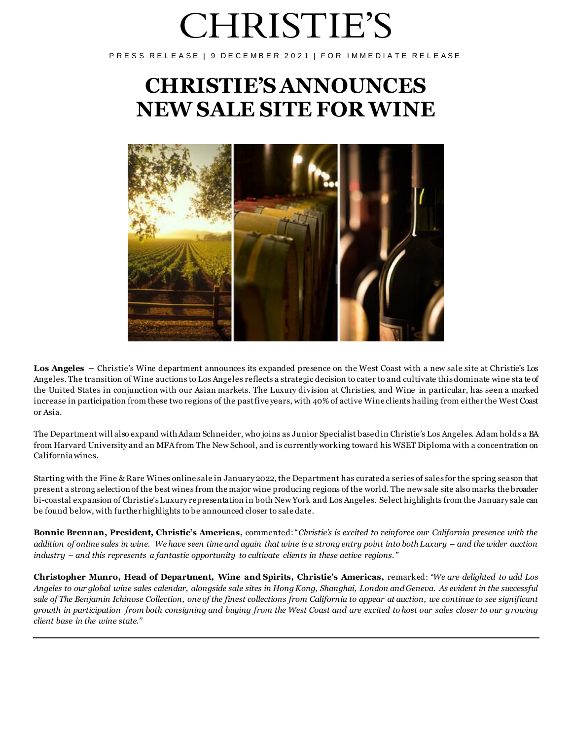# **CHRISTIE'S**

PRESS RELEASE | 9 DECEMBER 2021 | FOR IMMEDIATE RELEASE

# **CHRISTIE'S ANNOUNCES NEW SALE SITE FOR WINE**



**Los Angeles –** Christie's Wine department announces its expanded presence on the West Coast with a new sale site at Christie's Los Angeles. The transition of Wine auctions to Los Angeles reflects a strategic decision to cater to and cultivate this dominate wine sta te of the United States in conjunction with our Asian markets. The Luxury division at Christies, and Wine in particular, has seen a marked increase in participation from these two regions of the past five years, with 40% of active Wine clients hailing from either the West Coast or Asia.

The Department will also expand with Adam Schneider, who joins as Junior Specialist based in Christie's Los Angeles. Adam holds a BA from Harvard University and an MFA from The New School, and is currently working toward his WSET Diploma with a concentration on California wines.

Starting with the Fine & Rare Wines online sale in January 2022, the Department has curated a series of sales for the spring season that present a strong selection of the best wines from the major wine producing regions of the world. The new sale site also marks the broader bi-coastal expansion of Christie's Luxury representation in both New York and Los Angeles. Select highlights from the January sale can be found below, with further highlights to be announced closer to sale date.

**Bonnie Brennan, President, Christie's Americas,** commented: "*Christie's is excited to reinforce our California presence with the addition of online sales in wine. We have seen time and again that wine is a strong entry point into both Luxury – and the wider auction industry – and this represents a fantastic opportunity to cultivate clients in these active regions."*

**Christopher Munro, Head of Department, Wine and Spirits, Christie's Americas,** remarked: *"We are delighted to add Los Angeles to our global wine sales calendar, alongside sale sites in Hong Kong, Shanghai, London and Geneva. As evident in the successful sale of The Benjamin Ichinose Collection, one of the finest collections from California to appear at auction, we continue to see significant growth in participation from both consigning and buying from the West Coast and are excited to host our sales closer to our growing client base in the wine state."*